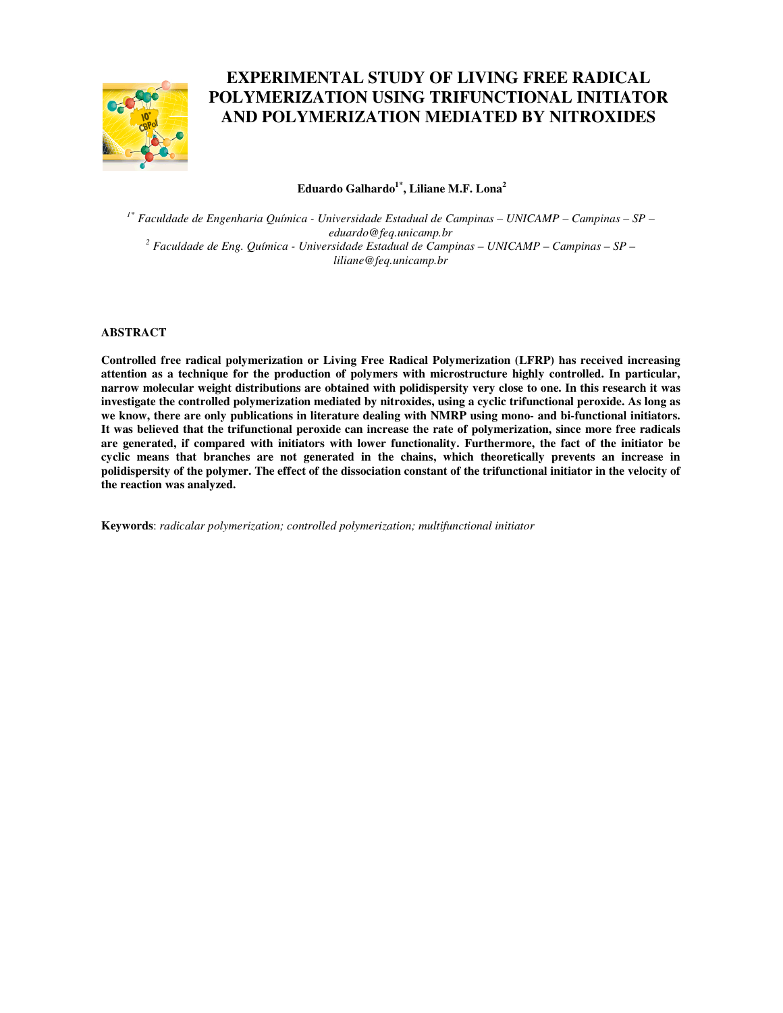

# **EXPERIMENTAL STUDY OF LIVING FREE RADICAL POLYMERIZATION USING TRIFUNCTIONAL INITIATOR AND POLYMERIZATION MEDIATED BY NITROXIDES**

## **Eduardo Galhardo1\*, Liliane M.F. Lona<sup>2</sup>**

*1\* Faculdade de Engenharia Química - Universidade Estadual de Campinas – UNICAMP – Campinas – SP – eduardo@feq.unicamp.br 2 Faculdade de Eng. Química - Universidade Estadual de Campinas – UNICAMP – Campinas – SP – liliane@feq.unicamp.br* 

#### **ABSTRACT**

**Controlled free radical polymerization or Living Free Radical Polymerization (LFRP) has received increasing attention as a technique for the production of polymers with microstructure highly controlled. In particular, narrow molecular weight distributions are obtained with polidispersity very close to one. In this research it was investigate the controlled polymerization mediated by nitroxides, using a cyclic trifunctional peroxide. As long as we know, there are only publications in literature dealing with NMRP using mono- and bi-functional initiators. It was believed that the trifunctional peroxide can increase the rate of polymerization, since more free radicals are generated, if compared with initiators with lower functionality. Furthermore, the fact of the initiator be cyclic means that branches are not generated in the chains, which theoretically prevents an increase in polidispersity of the polymer. The effect of the dissociation constant of the trifunctional initiator in the velocity of the reaction was analyzed.** 

**Keywords**: *radicalar polymerization; controlled polymerization; multifunctional initiator*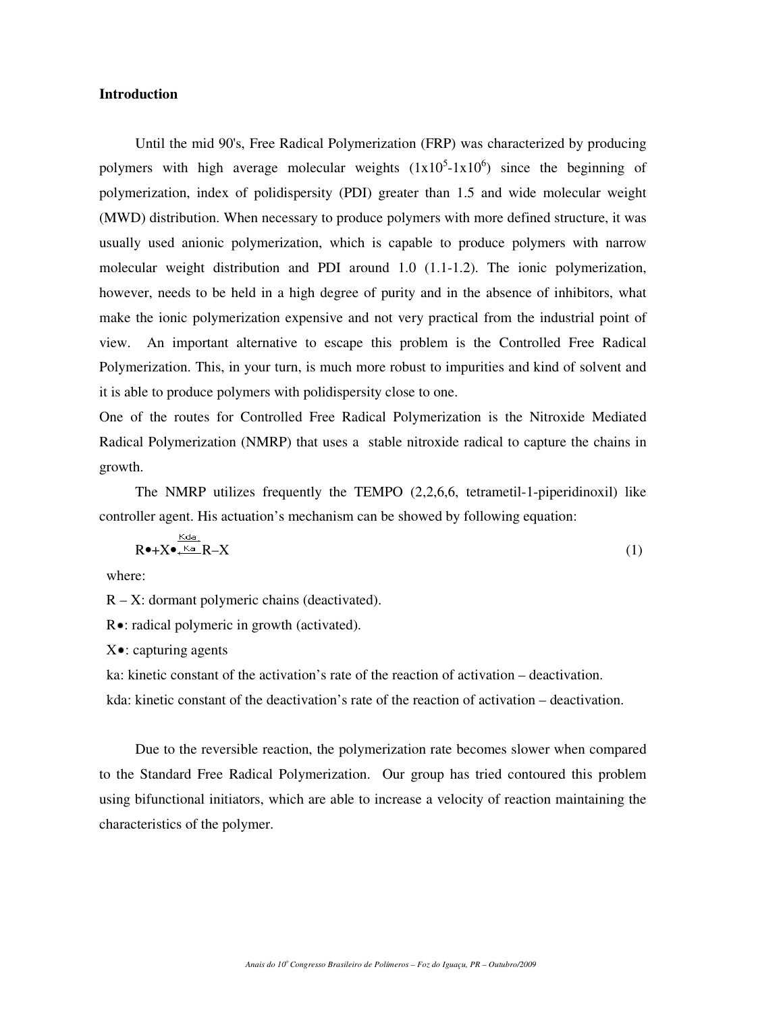#### **Introduction**

Until the mid 90's, Free Radical Polymerization (FRP) was characterized by producing polymers with high average molecular weights  $(1x10<sup>5</sup>-1x10<sup>6</sup>)$  since the beginning of polymerization, index of polidispersity (PDI) greater than 1.5 and wide molecular weight (MWD) distribution. When necessary to produce polymers with more defined structure, it was usually used anionic polymerization, which is capable to produce polymers with narrow molecular weight distribution and PDI around 1.0 (1.1-1.2). The ionic polymerization, however, needs to be held in a high degree of purity and in the absence of inhibitors, what make the ionic polymerization expensive and not very practical from the industrial point of view. An important alternative to escape this problem is the Controlled Free Radical Polymerization. This, in your turn, is much more robust to impurities and kind of solvent and it is able to produce polymers with polidispersity close to one.

One of the routes for Controlled Free Radical Polymerization is the Nitroxide Mediated Radical Polymerization (NMRP) that uses a stable nitroxide radical to capture the chains in growth.

The NMRP utilizes frequently the TEMPO (2,2,6,6, tetrametil-1-piperidinoxil) like controller agent. His actuation's mechanism can be showed by following equation:

$$
R \bullet + X \bullet \xleftarrow{K d \bullet} R - X \tag{1}
$$

where:

 $R - X$ : dormant polymeric chains (deactivated).

R •: radical polymeric in growth (activated).

 $X \bullet$ : capturing agents

ka: kinetic constant of the activation's rate of the reaction of activation – deactivation.

kda: kinetic constant of the deactivation's rate of the reaction of activation – deactivation.

Due to the reversible reaction, the polymerization rate becomes slower when compared to the Standard Free Radical Polymerization. Our group has tried contoured this problem using bifunctional initiators, which are able to increase a velocity of reaction maintaining the characteristics of the polymer.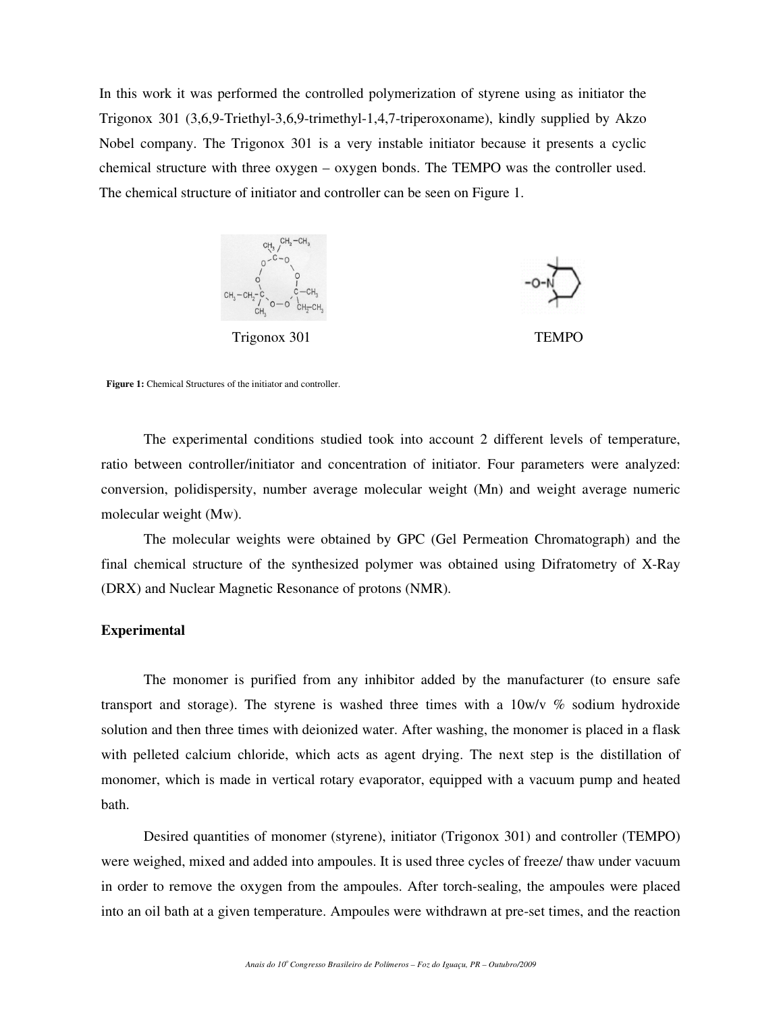In this work it was performed the controlled polymerization of styrene using as initiator the Trigonox 301 (3,6,9-Triethyl-3,6,9-trimethyl-1,4,7-triperoxoname), kindly supplied by Akzo Nobel company. The Trigonox 301 is a very instable initiator because it presents a cyclic chemical structure with three oxygen – oxygen bonds. The TEMPO was the controller used. The chemical structure of initiator and controller can be seen on Figure 1.





**Figure 1:** Chemical Structures of the initiator and controller.

The experimental conditions studied took into account 2 different levels of temperature, ratio between controller/initiator and concentration of initiator. Four parameters were analyzed: conversion, polidispersity, number average molecular weight (Mn) and weight average numeric molecular weight (Mw).

The molecular weights were obtained by GPC (Gel Permeation Chromatograph) and the final chemical structure of the synthesized polymer was obtained using Difratometry of X-Ray (DRX) and Nuclear Magnetic Resonance of protons (NMR).

#### **Experimental**

The monomer is purified from any inhibitor added by the manufacturer (to ensure safe transport and storage). The styrene is washed three times with a 10w/v % sodium hydroxide solution and then three times with deionized water. After washing, the monomer is placed in a flask with pelleted calcium chloride, which acts as agent drying. The next step is the distillation of monomer, which is made in vertical rotary evaporator, equipped with a vacuum pump and heated bath.

Desired quantities of monomer (styrene), initiator (Trigonox 301) and controller (TEMPO) were weighed, mixed and added into ampoules. It is used three cycles of freeze/ thaw under vacuum in order to remove the oxygen from the ampoules. After torch-sealing, the ampoules were placed into an oil bath at a given temperature. Ampoules were withdrawn at pre-set times, and the reaction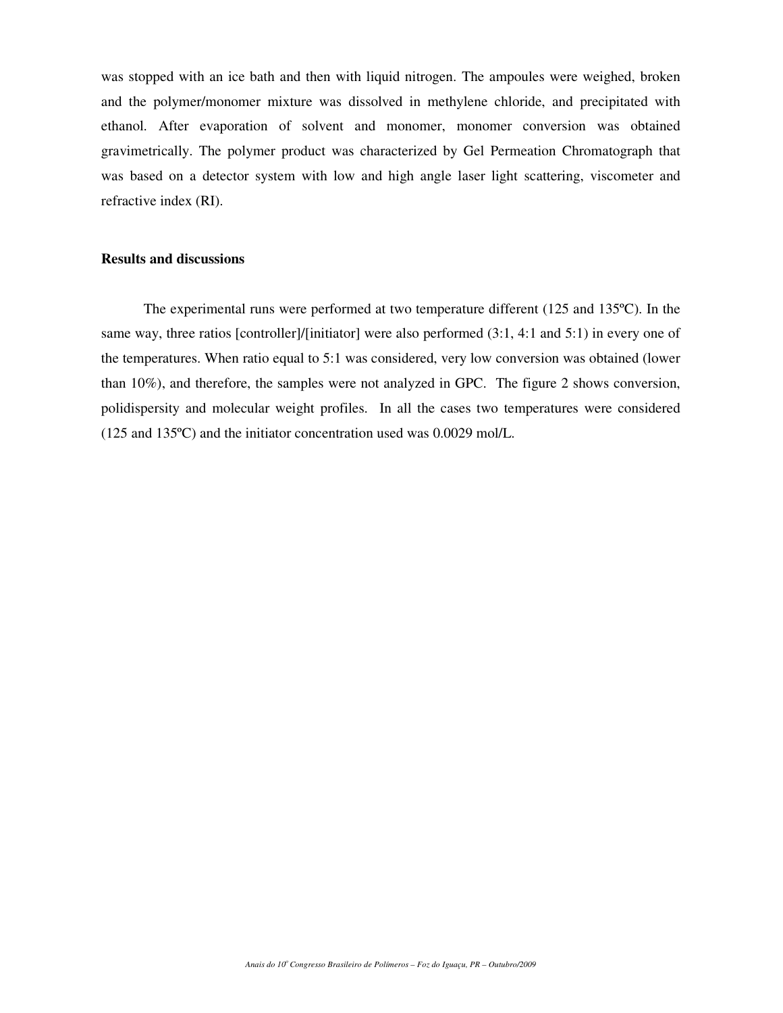was stopped with an ice bath and then with liquid nitrogen. The ampoules were weighed, broken and the polymer/monomer mixture was dissolved in methylene chloride, and precipitated with ethanol. After evaporation of solvent and monomer, monomer conversion was obtained gravimetrically. The polymer product was characterized by Gel Permeation Chromatograph that was based on a detector system with low and high angle laser light scattering, viscometer and refractive index (RI).

#### **Results and discussions**

The experimental runs were performed at two temperature different (125 and 135ºC). In the same way, three ratios [controller]/[initiator] were also performed (3:1, 4:1 and 5:1) in every one of the temperatures. When ratio equal to 5:1 was considered, very low conversion was obtained (lower than 10%), and therefore, the samples were not analyzed in GPC. The figure 2 shows conversion, polidispersity and molecular weight profiles. In all the cases two temperatures were considered (125 and 135ºC) and the initiator concentration used was 0.0029 mol/L.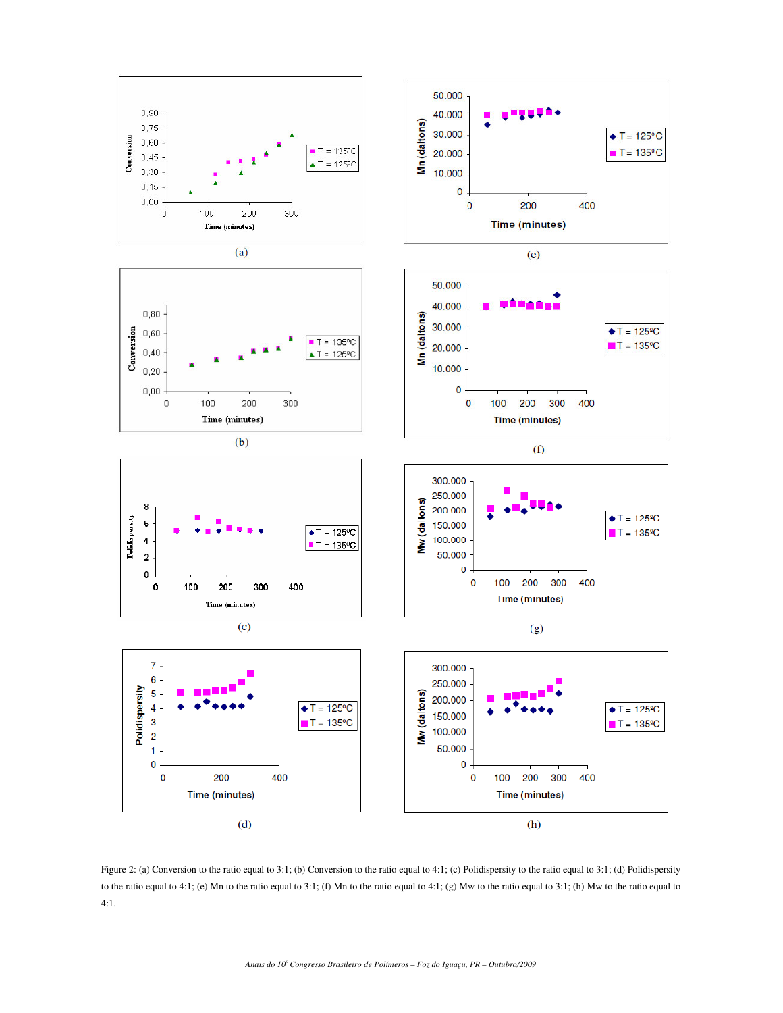

Figure 2: (a) Conversion to the ratio equal to 3:1; (b) Conversion to the ratio equal to 4:1; (c) Polidispersity to the ratio equal to 3:1; (d) Polidispersity to the ratio equal to 4:1; (e) Mn to the ratio equal to 3:1; (f) Mn to the ratio equal to 4:1; (g) Mw to the ratio equal to 3:1; (h) Mw to the ratio equal to 4:1.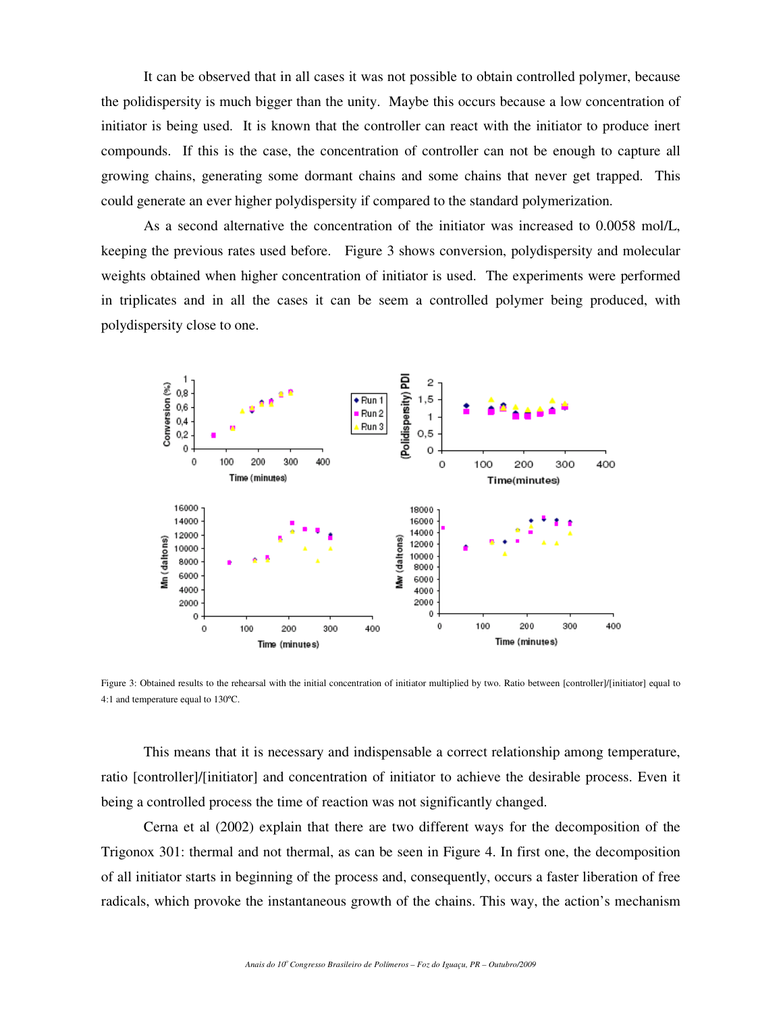It can be observed that in all cases it was not possible to obtain controlled polymer, because the polidispersity is much bigger than the unity. Maybe this occurs because a low concentration of initiator is being used. It is known that the controller can react with the initiator to produce inert compounds. If this is the case, the concentration of controller can not be enough to capture all growing chains, generating some dormant chains and some chains that never get trapped. This could generate an ever higher polydispersity if compared to the standard polymerization.

As a second alternative the concentration of the initiator was increased to 0.0058 mol/L, keeping the previous rates used before. Figure 3 shows conversion, polydispersity and molecular weights obtained when higher concentration of initiator is used. The experiments were performed in triplicates and in all the cases it can be seem a controlled polymer being produced, with polydispersity close to one.



Figure 3: Obtained results to the rehearsal with the initial concentration of initiator multiplied by two. Ratio between [controller]/[initiator] equal to 4:1 and temperature equal to 130ºC.

This means that it is necessary and indispensable a correct relationship among temperature, ratio [controller]/[initiator] and concentration of initiator to achieve the desirable process. Even it being a controlled process the time of reaction was not significantly changed.

Cerna et al (2002) explain that there are two different ways for the decomposition of the Trigonox 301: thermal and not thermal, as can be seen in Figure 4. In first one, the decomposition of all initiator starts in beginning of the process and, consequently, occurs a faster liberation of free radicals, which provoke the instantaneous growth of the chains. This way, the action's mechanism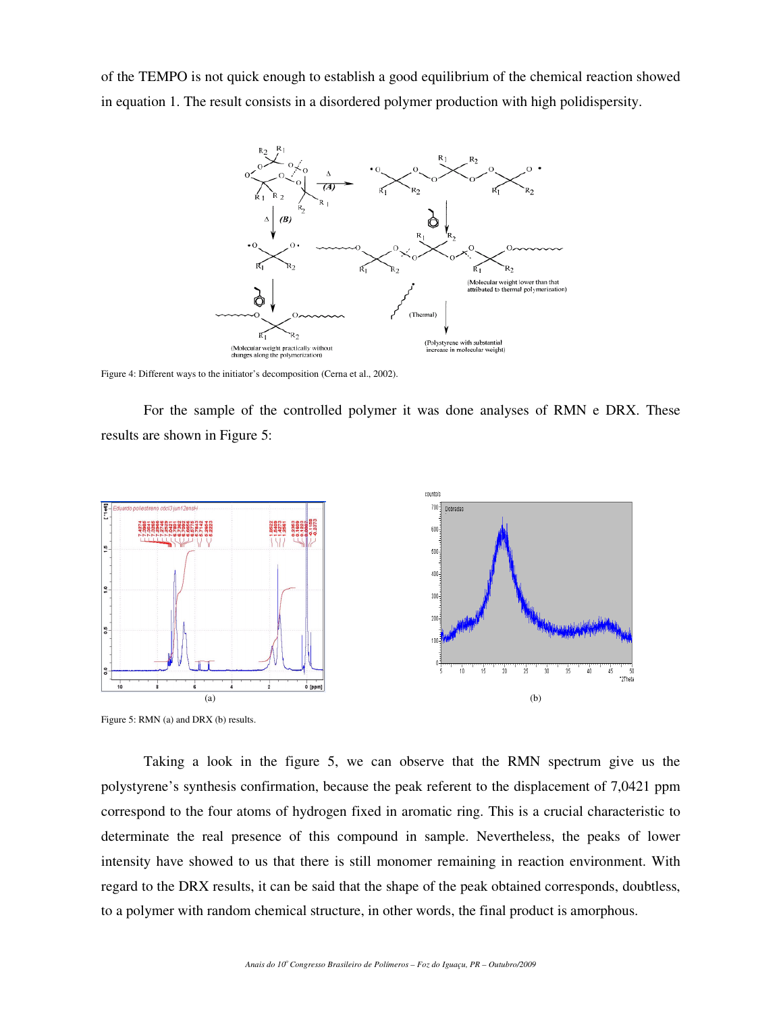of the TEMPO is not quick enough to establish a good equilibrium of the chemical reaction showed in equation 1. The result consists in a disordered polymer production with high polidispersity.



Figure 4: Different ways to the initiator's decomposition (Cerna et al., 2002).

For the sample of the controlled polymer it was done analyses of RMN e DRX. These results are shown in Figure 5:



Figure 5: RMN (a) and DRX (b) results.

Taking a look in the figure 5, we can observe that the RMN spectrum give us the polystyrene's synthesis confirmation, because the peak referent to the displacement of 7,0421 ppm correspond to the four atoms of hydrogen fixed in aromatic ring. This is a crucial characteristic to determinate the real presence of this compound in sample. Nevertheless, the peaks of lower intensity have showed to us that there is still monomer remaining in reaction environment. With regard to the DRX results, it can be said that the shape of the peak obtained corresponds, doubtless, to a polymer with random chemical structure, in other words, the final product is amorphous.